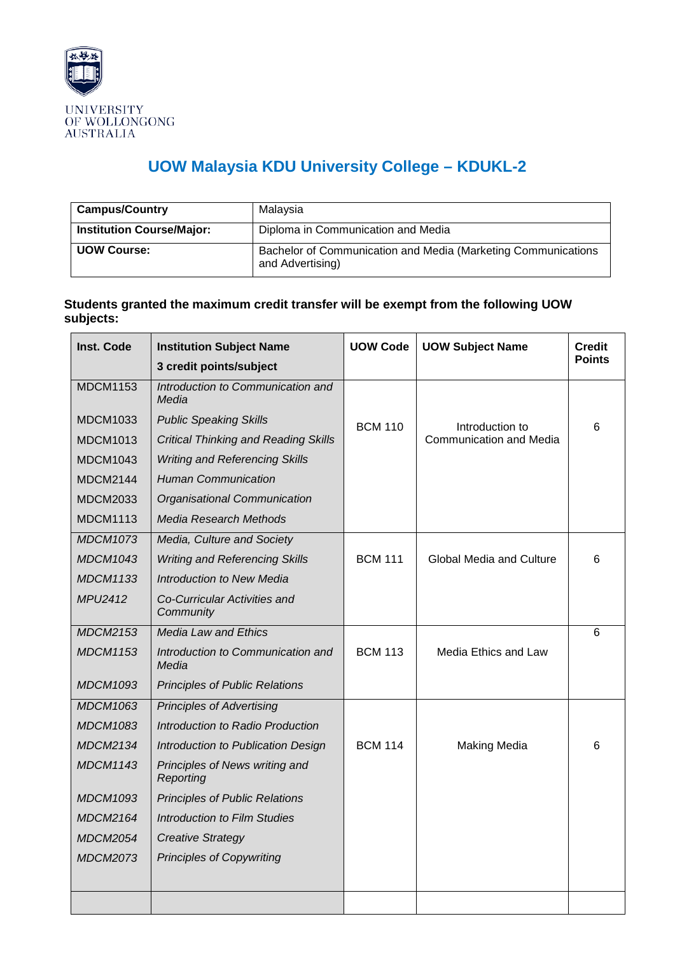

## **UOW Malaysia KDU University College – KDUKL-2**

| <b>Campus/Country</b>            | Malaysia                                                                          |  |  |  |
|----------------------------------|-----------------------------------------------------------------------------------|--|--|--|
| <b>Institution Course/Major:</b> | Diploma in Communication and Media                                                |  |  |  |
| <b>UOW Course:</b>               | Bachelor of Communication and Media (Marketing Communications<br>and Advertising) |  |  |  |

## **Students granted the maximum credit transfer will be exempt from the following UOW subjects:**

| Inst. Code      | <b>Institution Subject Name</b>             | <b>UOW Code</b> | <b>UOW Subject Name</b>         | <b>Credit</b> |
|-----------------|---------------------------------------------|-----------------|---------------------------------|---------------|
|                 | 3 credit points/subject                     |                 |                                 | <b>Points</b> |
| <b>MDCM1153</b> | Introduction to Communication and<br>Media  |                 |                                 |               |
| <b>MDCM1033</b> | <b>Public Speaking Skills</b>               | <b>BCM 110</b>  | Introduction to                 | 6             |
| <b>MDCM1013</b> | <b>Critical Thinking and Reading Skills</b> |                 | Communication and Media         |               |
| <b>MDCM1043</b> | <b>Writing and Referencing Skills</b>       |                 |                                 |               |
| <b>MDCM2144</b> | <b>Human Communication</b>                  |                 |                                 |               |
| <b>MDCM2033</b> | Organisational Communication                |                 |                                 |               |
| <b>MDCM1113</b> | Media Research Methods                      |                 |                                 |               |
| <b>MDCM1073</b> | Media, Culture and Society                  |                 |                                 |               |
| <b>MDCM1043</b> | <b>Writing and Referencing Skills</b>       | <b>BCM 111</b>  | <b>Global Media and Culture</b> | 6             |
| <b>MDCM1133</b> | <b>Introduction to New Media</b>            |                 |                                 |               |
| <b>MPU2412</b>  | Co-Curricular Activities and<br>Community   |                 |                                 |               |
| <b>MDCM2153</b> | <b>Media Law and Ethics</b>                 |                 |                                 | 6             |
| <b>MDCM1153</b> | Introduction to Communication and<br>Media  | <b>BCM 113</b>  | Media Ethics and Law            |               |
| <b>MDCM1093</b> | <b>Principles of Public Relations</b>       |                 |                                 |               |
| <b>MDCM1063</b> | <b>Principles of Advertising</b>            |                 |                                 |               |
| <b>MDCM1083</b> | Introduction to Radio Production            |                 |                                 |               |
| <b>MDCM2134</b> | Introduction to Publication Design          | <b>BCM 114</b>  | <b>Making Media</b>             | 6             |
| <b>MDCM1143</b> | Principles of News writing and<br>Reporting |                 |                                 |               |
| <b>MDCM1093</b> | <b>Principles of Public Relations</b>       |                 |                                 |               |
| <b>MDCM2164</b> | <b>Introduction to Film Studies</b>         |                 |                                 |               |
| <b>MDCM2054</b> | <b>Creative Strategy</b>                    |                 |                                 |               |
| <b>MDCM2073</b> | <b>Principles of Copywriting</b>            |                 |                                 |               |
|                 |                                             |                 |                                 |               |
|                 |                                             |                 |                                 |               |